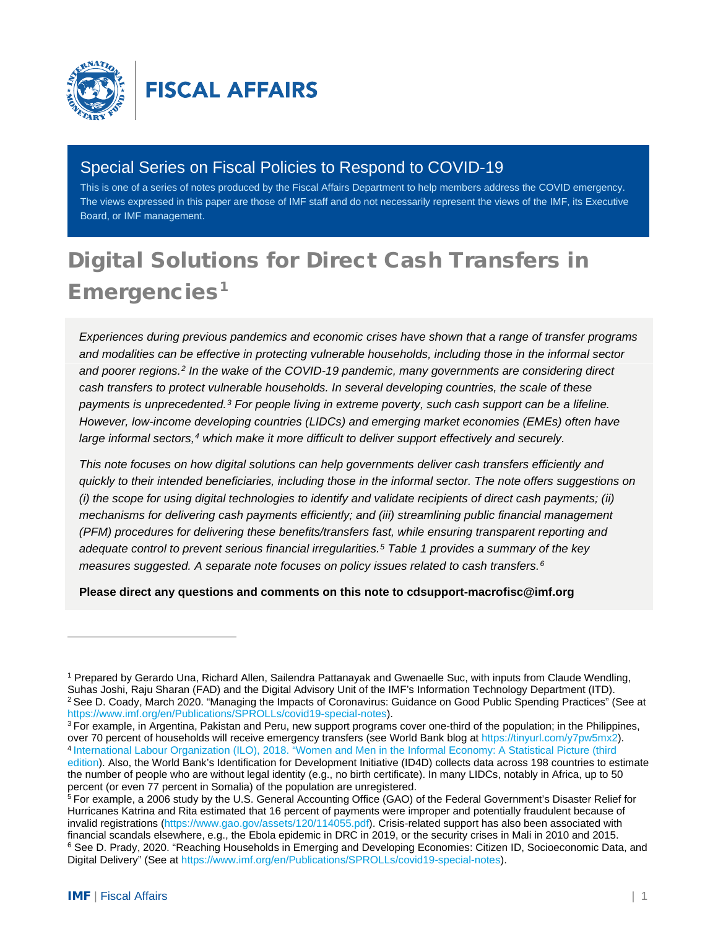

# Special Series on Fiscal Policies to Respond to COVID-19

This is one of a series of notes produced by the Fiscal Affairs Department to help members address the COVID emergency. The views expressed in this paper are those of IMF staff and do not necessarily represent the views of the IMF, its Executive Board, or IMF management.

# Digital Solutions for Direct Cash Transfers in Emergencies<sup>[1](#page-0-0)</sup>

*Experiences during previous pandemics and economic crises have shown that a range of transfer programs and modalities can be effective in protecting vulnerable households, including those in the informal sector and poorer regions.[2](#page-0-1) In the wake of the COVID-19 pandemic, many governments are considering direct cash transfers to protect vulnerable households. In several developing countries, the scale of these payments is unprecedented.[3](#page-0-2) For people living in extreme poverty, such cash support can be a lifeline. However, low-income developing countries (LIDCs) and emerging market economies (EMEs) often have large informal sectors,[4](#page-0-3) which make it more difficult to deliver support effectively and securely.*

*This note focuses on how digital solutions can help governments deliver cash transfers efficiently and quickly to their intended beneficiaries, including those in the informal sector. The note offers suggestions on (i) the scope for using digital technologies to identify and validate recipients of direct cash payments; (ii) mechanisms for delivering cash payments efficiently; and (iii) streamlining public financial management (PFM) procedures for delivering these benefits/transfers fast, while ensuring transparent reporting and adequate control to prevent serious financial irregularities.[5](#page-0-4) Table 1 provides a summary of the key measures suggested. A separate note focuses on policy issues related to cash transfers.[6](#page-0-5)*

**Please direct any questions and comments on this note to [cdsupport-macrofisc@imf.org](mailto:cdsupport-macrofisc@imf.org)** 

<span id="page-0-0"></span><sup>&</sup>lt;sup>1</sup> Prepared by Gerardo Una, Richard Allen, Sailendra Pattanayak and Gwenaelle Suc, with inputs from Claude Wendling,<br>Suhas Joshi, Raju Sharan (FAD) and the Digital Advisory Unit of the IMF's Information Technology Departm <sup>2</sup> See D. Coady, March 2020. "Managing the Impacts of Coronavirus: Guidance on Good Public Spending Practices" (See at [https://www.imf.org/en/Publications/SPROLLs/covid19-special-notes\)](https://www.imf.org/en/Publications/SPROLLs/covid19-special-notes).

<span id="page-0-3"></span><span id="page-0-2"></span><span id="page-0-1"></span><sup>&</sup>lt;sup>3</sup> For example, in Argentina, Pakistan and Peru, new support programs cover one-third of the population; in the Philippines, over 70 percent of households will receive emergency transfers (see World Bank blog at https:// 4 [International Labour Organization \(ILO\), 2018. "Women and Men in the Informal Economy: A](https://www.ilo.org/global/publications/books/WCMS_626831/lang--en/index.htm) Statistical Picture (third [edition\)](https://www.ilo.org/global/publications/books/WCMS_626831/lang--en/index.htm). Also, the World Bank's Identification for Development Initiative (ID4D) collects data across 198 countries to estimate the number of people who are without legal identity (e.g., no birth certificate). In many LIDCs, notably in Africa, up to 50 percent (or even 77 percent in Somalia) of the population are unregistered.

<span id="page-0-5"></span><span id="page-0-4"></span><sup>&</sup>lt;sup>5</sup> For example, a 2006 study by the U.S. General Accounting Office (GAO) of the Federal Government's Disaster Relief for Hurricanes Katrina and Rita estimated that 16 percent of payments were improper and potentially fraudulent because of invalid registrations [\(https://www.gao.gov/assets/120/114055.pdf\)](https://www.gao.gov/assets/120/114055.pdf). Crisis-related support has also been associated with financial scandals elsewhere, e.g., the Ebola epidemic in DRC in 2019, or the security crises in Mali in 2010 and 2015. <sup>6</sup> See D. Prady, 2020. "Reaching Households in Emerging and Developing Economies: Citizen ID, Socioeconomic Data, and Digital Delivery" (See a[t https://www.imf.org/en/Publications/SPROLLs/covid19-special-notes\)](https://www.imf.org/en/Publications/SPROLLs/covid19-special-notes).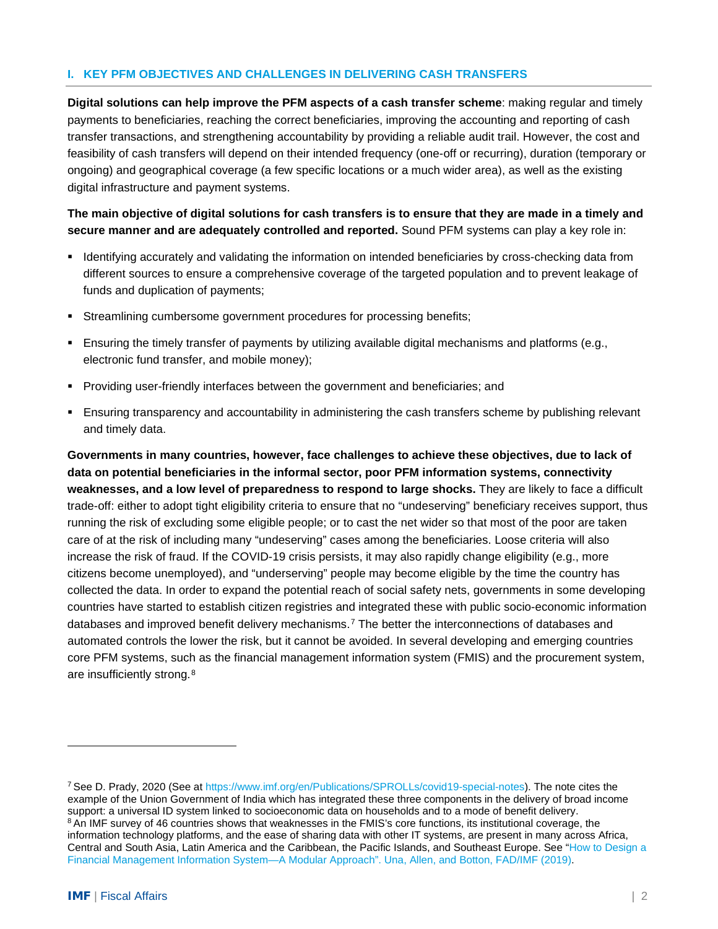### **I. KEY PFM OBJECTIVES AND CHALLENGES IN DELIVERING CASH TRANSFERS**

**Digital solutions can help improve the PFM aspects of a cash transfer scheme**: making regular and timely payments to beneficiaries, reaching the correct beneficiaries, improving the accounting and reporting of cash transfer transactions, and strengthening accountability by providing a reliable audit trail. However, the cost and feasibility of cash transfers will depend on their intended frequency (one-off or recurring), duration (temporary or ongoing) and geographical coverage (a few specific locations or a much wider area), as well as the existing digital infrastructure and payment systems.

**The main objective of digital solutions for cash transfers is to ensure that they are made in a timely and secure manner and are adequately controlled and reported.** Sound PFM systems can play a key role in:

- I Identifying accurately and validating the information on intended beneficiaries by cross-checking data from different sources to ensure a comprehensive coverage of the targeted population and to prevent leakage of funds and duplication of payments;
- Streamlining cumbersome government procedures for processing benefits;
- Ensuring the timely transfer of payments by utilizing available digital mechanisms and platforms (e.g., electronic fund transfer, and mobile money);
- **Providing user-friendly interfaces between the government and beneficiaries; and**
- Ensuring transparency and accountability in administering the cash transfers scheme by publishing relevant and timely data.

**Governments in many countries, however, face challenges to achieve these objectives, due to lack of data on potential beneficiaries in the informal sector, poor PFM information systems, connectivity weaknesses, and a low level of preparedness to respond to large shocks.** They are likely to face a difficult trade-off: either to adopt tight eligibility criteria to ensure that no "undeserving" beneficiary receives support, thus running the risk of excluding some eligible people; or to cast the net wider so that most of the poor are taken care of at the risk of including many "undeserving" cases among the beneficiaries. Loose criteria will also increase the risk of fraud. If the COVID-19 crisis persists, it may also rapidly change eligibility (e.g., more citizens become unemployed), and "underserving" people may become eligible by the time the country has collected the data. In order to expand the potential reach of social safety nets, governments in some developing countries have started to establish citizen registries and integrated these with public socio-economic information databases and improved benefit delivery mechanisms.[7](#page-1-0) The better the interconnections of databases and automated controls the lower the risk, but it cannot be avoided. In several developing and emerging countries core PFM systems, such as the financial management information system (FMIS) and the procurement system, are insufficiently strong.<sup>8</sup>

<span id="page-1-1"></span><span id="page-1-0"></span><sup>&</sup>lt;sup>7</sup> See D. Prady, 2020 (See at [https://www.imf.org/en/Publications/SPROLLs/covid19-special-notes\)](https://www.imf.org/en/Publications/SPROLLs/covid19-special-notes). The note cites the example of the Union Government of India which has integrated these three components in the delivery of broad income support: a universal ID system linked to socioeconomic data on households and to a mode of benefit delivery. <sup>8</sup> An IMF survey of 46 countries shows that weaknesses in the FMIS's core functions, its institutional coverage, the information technology platforms, and the ease of sharing data with other IT systems, are present in many across Africa, Central and South Asia, Latin America and the Caribbean, the Pacific Islands, and Southeast Europe. See ["How to Design a](https://www.imf.org/en/Publications/Fiscal-Affairs-Department-How-To-Notes/Issues/2019/05/15/How-to-Design-a-Financial-Management-Information-System-A-Modular-Approach-46818)  [Financial Management Information System—A Modular Approach". Una, Allen, and Botton, FAD/IMF](https://www.imf.org/en/Publications/Fiscal-Affairs-Department-How-To-Notes/Issues/2019/05/15/How-to-Design-a-Financial-Management-Information-System-A-Modular-Approach-46818) (2019).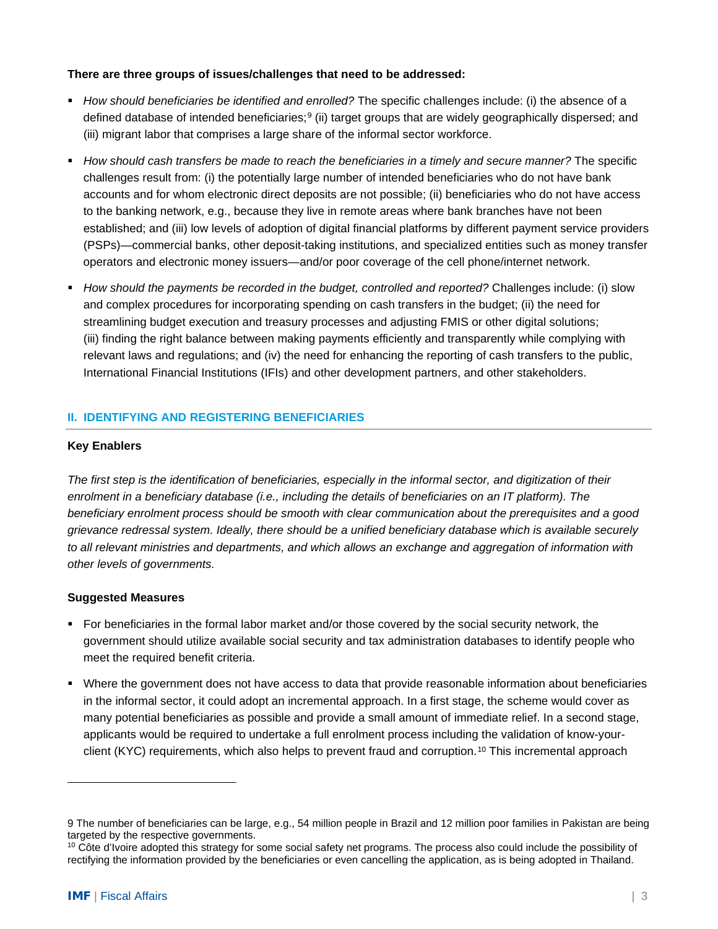#### **There are three groups of issues/challenges that need to be addressed:**

- *How should beneficiaries be identified and enrolled?* The specific challenges include: (i) the absence of a defined database of intended beneficiaries;[9](#page-2-0) (ii) target groups that are widely geographically dispersed; and (iii) migrant labor that comprises a large share of the informal sector workforce.
- *How should cash transfers be made to reach the beneficiaries in a timely and secure manner?* The specific challenges result from: (i) the potentially large number of intended beneficiaries who do not have bank accounts and for whom electronic direct deposits are not possible; (ii) beneficiaries who do not have access to the banking network, e.g., because they live in remote areas where bank branches have not been established; and (iii) low levels of adoption of digital financial platforms by different payment service providers (PSPs)—commercial banks, other deposit-taking institutions, and specialized entities such as money transfer operators and electronic money issuers—and/or poor coverage of the cell phone/internet network.
- *How should the payments be recorded in the budget, controlled and reported?* Challenges include: (i) slow and complex procedures for incorporating spending on cash transfers in the budget; (ii) the need for streamlining budget execution and treasury processes and adjusting FMIS or other digital solutions; (iii) finding the right balance between making payments efficiently and transparently while complying with relevant laws and regulations; and (iv) the need for enhancing the reporting of cash transfers to the public, International Financial Institutions (IFIs) and other development partners, and other stakeholders.

## **II. IDENTIFYING AND REGISTERING BENEFICIARIES**

### **Key Enablers**

*The first step is the identification of beneficiaries, especially in the informal sector, and digitization of their enrolment in a beneficiary database (i.e., including the details of beneficiaries on an IT platform). The beneficiary enrolment process should be smooth with clear communication about the prerequisites and a good grievance redressal system. Ideally, there should be a unified beneficiary database which is available securely to all relevant ministries and departments, and which allows an exchange and aggregation of information with other levels of governments.*

### **Suggested Measures**

- For beneficiaries in the formal labor market and/or those covered by the social security network, the government should utilize available social security and tax administration databases to identify people who meet the required benefit criteria.
- Where the government does not have access to data that provide reasonable information about beneficiaries in the informal sector, it could adopt an incremental approach. In a first stage, the scheme would cover as many potential beneficiaries as possible and provide a small amount of immediate relief. In a second stage, applicants would be required to undertake a full enrolment process including the validation of know-your-client (KYC) requirements, which also helps to prevent fraud and corruption.<sup>[10](#page-2-1)</sup> This incremental approach

<span id="page-2-0"></span><sup>9</sup> The number of beneficiaries can be large, e.g., 54 million people in Brazil and 12 million poor families in Pakistan are being targeted by the respective governments.

<span id="page-2-1"></span><sup>&</sup>lt;sup>10</sup> Côte d'Ivoire adopted this strategy for some social safety net programs. The process also could include the possibility of rectifying the information provided by the beneficiaries or even cancelling the application, as is being adopted in Thailand.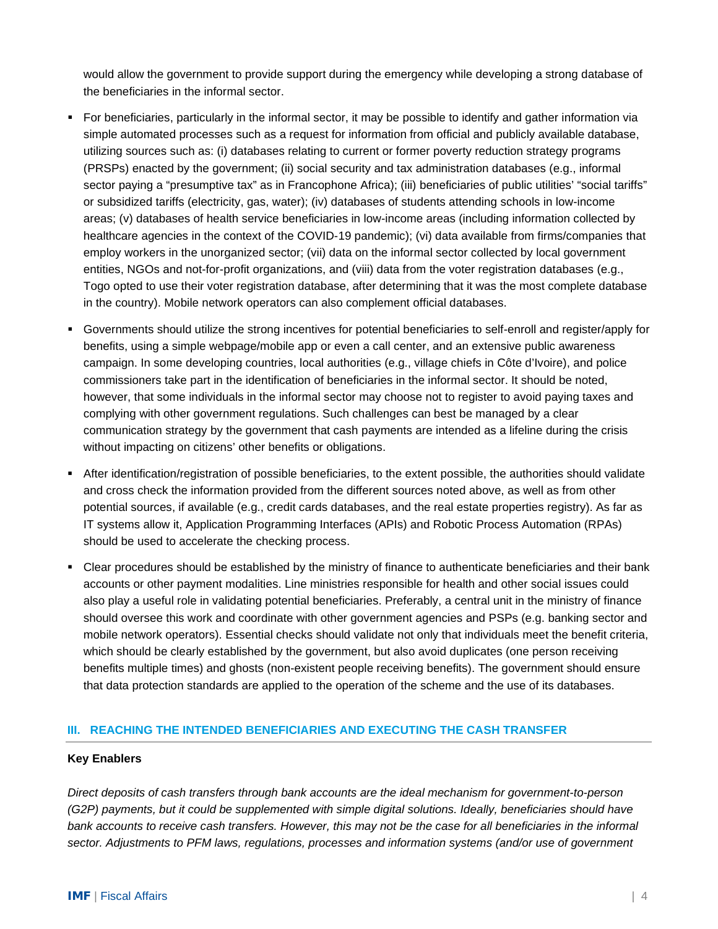would allow the government to provide support during the emergency while developing a strong database of the beneficiaries in the informal sector.

- For beneficiaries, particularly in the informal sector, it may be possible to identify and gather information via simple automated processes such as a request for information from official and publicly available database, utilizing sources such as: (i) databases relating to current or former poverty reduction strategy programs (PRSPs) enacted by the government; (ii) social security and tax administration databases (e.g., informal sector paying a "presumptive tax" as in Francophone Africa); (iii) beneficiaries of public utilities' "social tariffs" or subsidized tariffs (electricity, gas, water); (iv) databases of students attending schools in low-income areas; (v) databases of health service beneficiaries in low-income areas (including information collected by healthcare agencies in the context of the COVID-19 pandemic); (vi) data available from firms/companies that employ workers in the unorganized sector; (vii) data on the informal sector collected by local government entities, NGOs and not-for-profit organizations, and (viii) data from the voter registration databases (e.g., Togo opted to use their voter registration database, after determining that it was the most complete database in the country). Mobile network operators can also complement official databases.
- Governments should utilize the strong incentives for potential beneficiaries to self-enroll and register/apply for benefits, using a simple webpage/mobile app or even a call center, and an extensive public awareness campaign. In some developing countries, local authorities (e.g., village chiefs in Côte d'Ivoire), and police commissioners take part in the identification of beneficiaries in the informal sector. It should be noted, however, that some individuals in the informal sector may choose not to register to avoid paying taxes and complying with other government regulations. Such challenges can best be managed by a clear communication strategy by the government that cash payments are intended as a lifeline during the crisis without impacting on citizens' other benefits or obligations.
- After identification/registration of possible beneficiaries, to the extent possible, the authorities should validate and cross check the information provided from the different sources noted above, as well as from other potential sources, if available (e.g., credit cards databases, and the real estate properties registry). As far as IT systems allow it, Application Programming Interfaces (APIs) and Robotic Process Automation (RPAs) should be used to accelerate the checking process.
- Clear procedures should be established by the ministry of finance to authenticate beneficiaries and their bank accounts or other payment modalities. Line ministries responsible for health and other social issues could also play a useful role in validating potential beneficiaries. Preferably, a central unit in the ministry of finance should oversee this work and coordinate with other government agencies and PSPs (e.g. banking sector and mobile network operators). Essential checks should validate not only that individuals meet the benefit criteria, which should be clearly established by the government, but also avoid duplicates (one person receiving benefits multiple times) and ghosts (non-existent people receiving benefits). The government should ensure that data protection standards are applied to the operation of the scheme and the use of its databases.

### **III. REACHING THE INTENDED BENEFICIARIES AND EXECUTING THE CASH TRANSFER**

### **Key Enablers**

*Direct deposits of cash transfers through bank accounts are the ideal mechanism for government-to-person (G2P) payments, but it could be supplemented with simple digital solutions. Ideally, beneficiaries should have bank accounts to receive cash transfers. However, this may not be the case for all beneficiaries in the informal sector. Adjustments to PFM laws, regulations, processes and information systems (and/or use of government*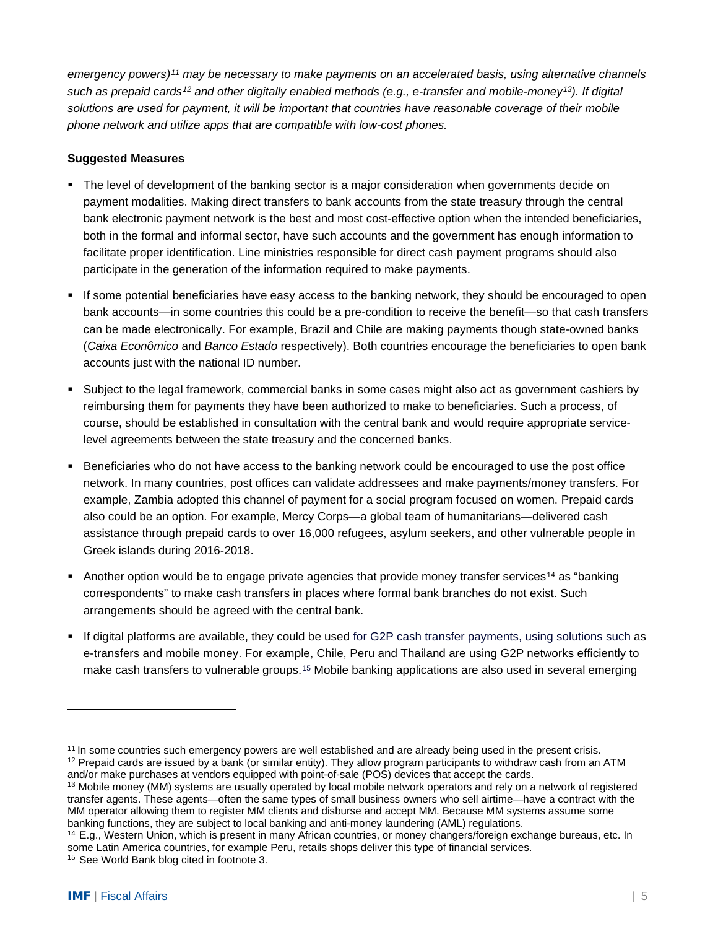*emergency powers)[11](#page-4-0) may be necessary to make payments on an accelerated basis, using alternative channels such as prepaid cards[12](#page-4-1) and other digitally enabled methods (e.g., e-transfer and mobile-money[13\)](#page-4-2). If digital solutions are used for payment, it will be important that countries have reasonable coverage of their mobile phone network and utilize apps that are compatible with low-cost phones.*

### **Suggested Measures**

- The level of development of the banking sector is a major consideration when governments decide on payment modalities. Making direct transfers to bank accounts from the state treasury through the central bank electronic payment network is the best and most cost-effective option when the intended beneficiaries, both in the formal and informal sector, have such accounts and the government has enough information to facilitate proper identification. Line ministries responsible for direct cash payment programs should also participate in the generation of the information required to make payments.
- If some potential beneficiaries have easy access to the banking network, they should be encouraged to open bank accounts—in some countries this could be a pre-condition to receive the benefit—so that cash transfers can be made electronically. For example, Brazil and Chile are making payments though state-owned banks (*Caixa Econômico* and *Banco Estado* respectively). Both countries encourage the beneficiaries to open bank accounts just with the national ID number.
- Subject to the legal framework, commercial banks in some cases might also act as government cashiers by reimbursing them for payments they have been authorized to make to beneficiaries. Such a process, of course, should be established in consultation with the central bank and would require appropriate servicelevel agreements between the state treasury and the concerned banks.
- Beneficiaries who do not have access to the banking network could be encouraged to use the post office network. In many countries, post offices can validate addressees and make payments/money transfers. For example, Zambia adopted this channel of payment for a social program focused on women. Prepaid cards also could be an option. For example, Mercy Corps—a global team of humanitarians—delivered cash assistance through prepaid cards to over 16,000 refugees, asylum seekers, and other vulnerable people in Greek islands during 2016-2018.
- Another option would be to engage private agencies that provide money transfer services<sup>[14](#page-4-3)</sup> as "banking" correspondents" to make cash transfers in places where formal bank branches do not exist. Such arrangements should be agreed with the central bank.
- If digital platforms are available, they could be used for G2P cash transfer payments, using solutions such as e-transfers and mobile money. For example, Chile, Peru and Thailand are using G2P networks efficiently to make cash transfers to vulnerable groups.<sup>[15](#page-4-4)</sup> Mobile banking applications are also used in several emerging

<span id="page-4-1"></span><span id="page-4-0"></span><sup>&</sup>lt;sup>11</sup> In some countries such emergency powers are well established and are already being used in the present crisis.  $12$  Prepaid cards are issued by a bank (or similar entity). They allow program participants to withdraw cash from an ATM and/or make purchases at vendors equipped with point-of-sale (POS) devices that accept the cards.

<span id="page-4-2"></span><sup>&</sup>lt;sup>13</sup> Mobile money (MM) systems are usually operated by local mobile network operators and rely on a network of registered transfer agents. These agents—often the same types of small business owners who sell airtime—have a contract with the MM operator allowing them to register MM clients and disburse and accept MM. Because MM systems assume some banking functions, they are subject to local banking and anti-money laundering (AML) regulations.

<span id="page-4-3"></span><sup>14</sup> E.g., Western Union, which is present in many African countries, or money changers/foreign exchange bureaus, etc. In some Latin America countries, for example Peru, retails shops deliver this type of financial services.

<span id="page-4-4"></span><sup>15</sup> See World Bank blog cited in footnote 3.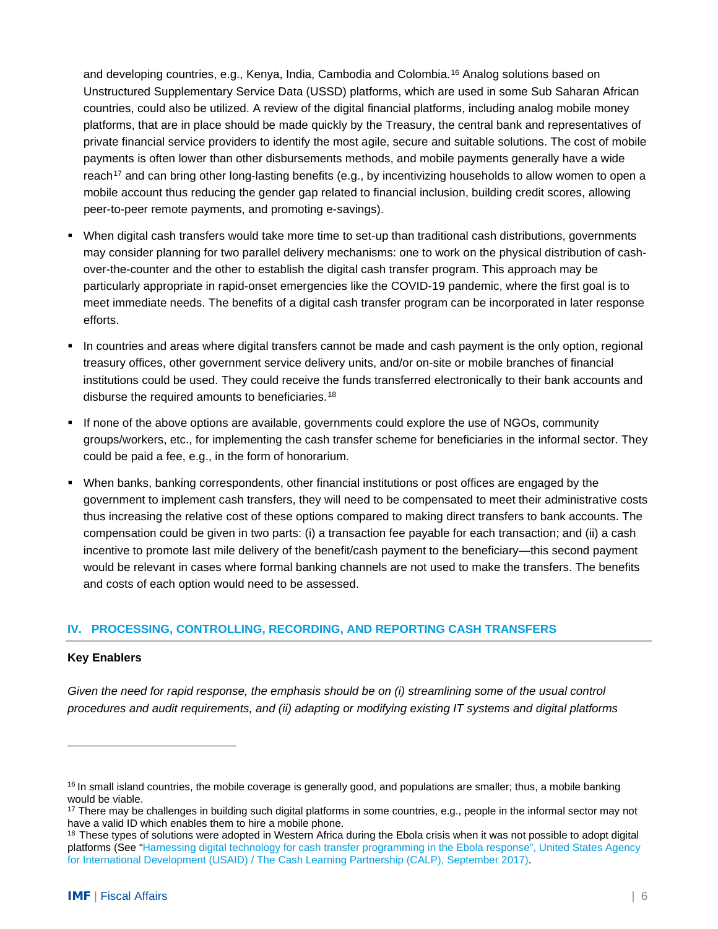and developing countries, e.g., Kenya, India, Cambodia and Colombia.<sup>[16](#page-5-0)</sup> Analog solutions based on Unstructured Supplementary Service Data (USSD) platforms, which are used in some Sub Saharan African countries, could also be utilized. A review of the digital financial platforms, including analog mobile money platforms, that are in place should be made quickly by the Treasury, the central bank and representatives of private financial service providers to identify the most agile, secure and suitable solutions. The cost of mobile payments is often lower than other disbursements methods, and mobile payments generally have a wide reach<sup>[17](#page-5-1)</sup> and can bring other long-lasting benefits (e.g., by incentivizing households to allow women to open a mobile account thus reducing the gender gap related to financial inclusion, building credit scores, allowing peer-to-peer remote payments, and promoting e-savings).

- When digital cash transfers would take more time to set-up than traditional cash distributions, governments may consider planning for two parallel delivery mechanisms: one to work on the physical distribution of cashover-the-counter and the other to establish the digital cash transfer program. This approach may be particularly appropriate in rapid-onset emergencies like the COVID-19 pandemic, where the first goal is to meet immediate needs. The benefits of a digital cash transfer program can be incorporated in later response efforts.
- In countries and areas where digital transfers cannot be made and cash payment is the only option, regional treasury offices, other government service delivery units, and/or on-site or mobile branches of financial institutions could be used. They could receive the funds transferred electronically to their bank accounts and disburse the required amounts to beneficiaries.[18](#page-5-2)
- If none of the above options are available, governments could explore the use of NGOs, community groups/workers, etc., for implementing the cash transfer scheme for beneficiaries in the informal sector. They could be paid a fee, e.g., in the form of honorarium.
- When banks, banking correspondents, other financial institutions or post offices are engaged by the government to implement cash transfers, they will need to be compensated to meet their administrative costs thus increasing the relative cost of these options compared to making direct transfers to bank accounts. The compensation could be given in two parts: (i) a transaction fee payable for each transaction; and (ii) a cash incentive to promote last mile delivery of the benefit/cash payment to the beneficiary—this second payment would be relevant in cases where formal banking channels are not used to make the transfers. The benefits and costs of each option would need to be assessed.

### **IV. PROCESSING, CONTROLLING, RECORDING, AND REPORTING CASH TRANSFERS**

#### **Key Enablers**

*Given the need for rapid response, the emphasis should be on (i) streamlining some of the usual control procedures and audit requirements, and (ii) adapting or modifying existing IT systems and digital platforms* 

<span id="page-5-0"></span> $16$  In small island countries, the mobile coverage is generally good, and populations are smaller; thus, a mobile banking would be viable.

<span id="page-5-1"></span><sup>&</sup>lt;sup>17</sup> There may be challenges in building such digital platforms in some countries, e.g., people in the informal sector may not have a valid ID which enables them to hire a mobile phone.

<span id="page-5-2"></span><sup>&</sup>lt;sup>18</sup> These types of solutions were adopted in Western Africa during the Ebola crisis when it was not possible to adopt digital platforms (See ["Harnessing digital technology for cash transfer programming in the Ebola response",](http://www.cashlearning.org/downloads/calp-ebola-case-study-web.pdf) United States Agency [for International Development \(USAID\) / The Cash Learning Partnership](http://www.cashlearning.org/downloads/calp-ebola-case-study-web.pdf) (CALP), September 2017).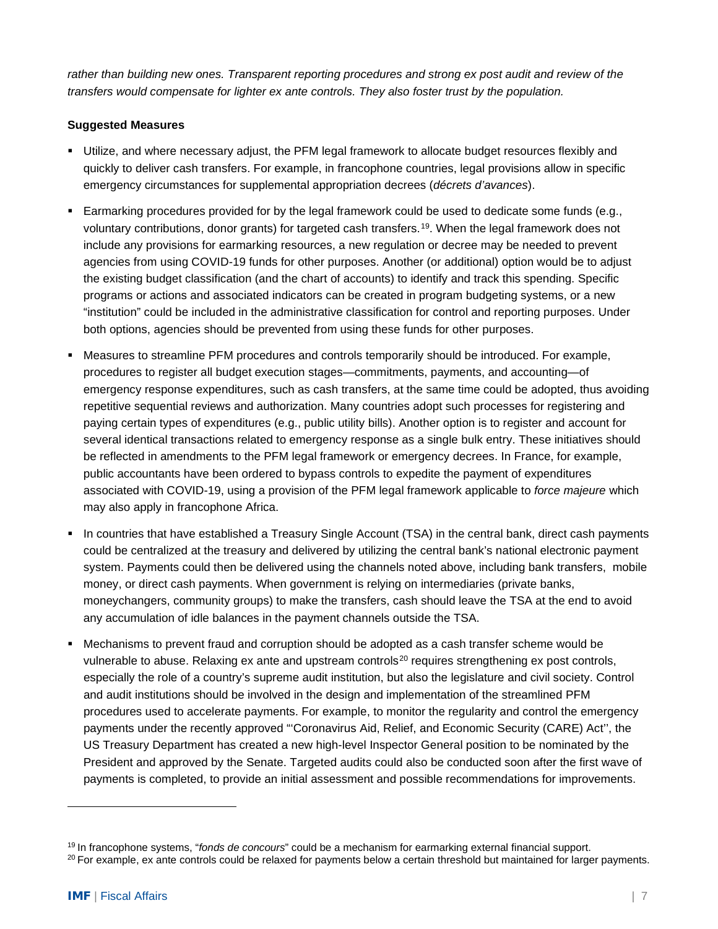*rather than building new ones. Transparent reporting procedures and strong ex post audit and review of the transfers would compensate for lighter ex ante controls. They also foster trust by the population.*

### **Suggested Measures**

- Utilize, and where necessary adjust, the PFM legal framework to allocate budget resources flexibly and quickly to deliver cash transfers. For example, in francophone countries, legal provisions allow in specific emergency circumstances for supplemental appropriation decrees (*décrets d'avances*).
- Earmarking procedures provided for by the legal framework could be used to dedicate some funds (e.g., voluntary contributions, donor grants) for targeted cash transfers.[19](#page-6-0). When the legal framework does not include any provisions for earmarking resources, a new regulation or decree may be needed to prevent agencies from using COVID-19 funds for other purposes. Another (or additional) option would be to adjust the existing budget classification (and the chart of accounts) to identify and track this spending. Specific programs or actions and associated indicators can be created in program budgeting systems, or a new "institution" could be included in the administrative classification for control and reporting purposes. Under both options, agencies should be prevented from using these funds for other purposes.
- Measures to streamline PFM procedures and controls temporarily should be introduced. For example, procedures to register all budget execution stages—commitments, payments, and accounting—of emergency response expenditures, such as cash transfers, at the same time could be adopted, thus avoiding repetitive sequential reviews and authorization. Many countries adopt such processes for registering and paying certain types of expenditures (e.g., public utility bills). Another option is to register and account for several identical transactions related to emergency response as a single bulk entry. These initiatives should be reflected in amendments to the PFM legal framework or emergency decrees. In France, for example, public accountants have been ordered to bypass controls to expedite the payment of expenditures associated with COVID-19, using a provision of the PFM legal framework applicable to *force majeure* which may also apply in francophone Africa.
- In countries that have established a Treasury Single Account (TSA) in the central bank, direct cash payments could be centralized at the treasury and delivered by utilizing the central bank's national electronic payment system. Payments could then be delivered using the channels noted above, including bank transfers, mobile money, or direct cash payments. When government is relying on intermediaries (private banks, moneychangers, community groups) to make the transfers, cash should leave the TSA at the end to avoid any accumulation of idle balances in the payment channels outside the TSA.
- Mechanisms to prevent fraud and corruption should be adopted as a cash transfer scheme would be vulnerable to abuse. Relaxing ex ante and upstream controls<sup>[20](#page-6-1)</sup> requires strengthening ex post controls, especially the role of a country's supreme audit institution, but also the legislature and civil society. Control and audit institutions should be involved in the design and implementation of the streamlined PFM procedures used to accelerate payments. For example, to monitor the regularity and control the emergency payments under the recently approved "'Coronavirus Aid, Relief, and Economic Security (CARE) Act'', the US Treasury Department has created a new high-level Inspector General position to be nominated by the President and approved by the Senate. Targeted audits could also be conducted soon after the first wave of payments is completed, to provide an initial assessment and possible recommendations for improvements.

<span id="page-6-1"></span><span id="page-6-0"></span><sup>19</sup> In francophone systems, "*fonds de concours*" could be a mechanism for earmarking external financial support. <sup>20</sup> For example, ex ante controls could be relaxed for payments below a certain threshold but maintained for larger payments.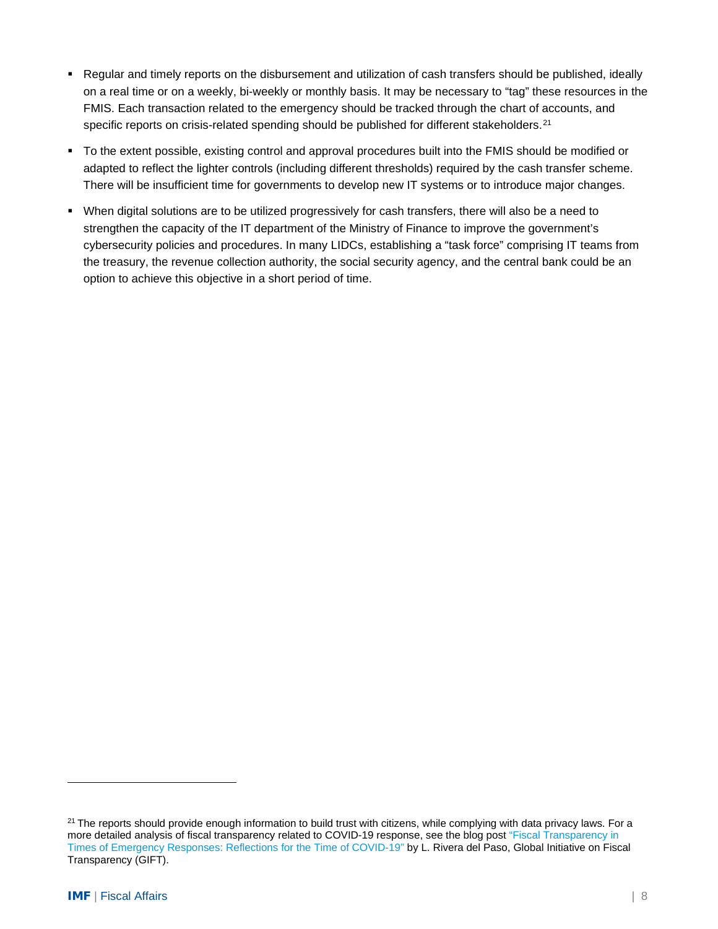- Regular and timely reports on the disbursement and utilization of cash transfers should be published, ideally on a real time or on a weekly, bi-weekly or monthly basis. It may be necessary to "tag" these resources in the FMIS. Each transaction related to the emergency should be tracked through the chart of accounts, and specific reports on crisis-related spending should be published for different stakeholders.<sup>[21](#page-7-0)</sup>
- To the extent possible, existing control and approval procedures built into the FMIS should be modified or adapted to reflect the lighter controls (including different thresholds) required by the cash transfer scheme. There will be insufficient time for governments to develop new IT systems or to introduce major changes.
- When digital solutions are to be utilized progressively for cash transfers, there will also be a need to strengthen the capacity of the IT department of the Ministry of Finance to improve the government's cybersecurity policies and procedures. In many LIDCs, establishing a "task force" comprising IT teams from the treasury, the revenue collection authority, the social security agency, and the central bank could be an option to achieve this objective in a short period of time.

<span id="page-7-0"></span> $21$  The reports should provide enough information to build trust with citizens, while complying with data privacy laws. For a more detailed analysis of fiscal transparency related to COVID-19 response, see the blog post ["Fiscal Transparency in](http://www.fiscaltransparency.net/blog_open_public.php?IdToOpen=8281)  [Times of Emergency Responses: Reflections for the Time of COVID-19"](http://www.fiscaltransparency.net/blog_open_public.php?IdToOpen=8281) by L. Rivera del Paso, Global Initiative on Fiscal Transparency (GIFT).